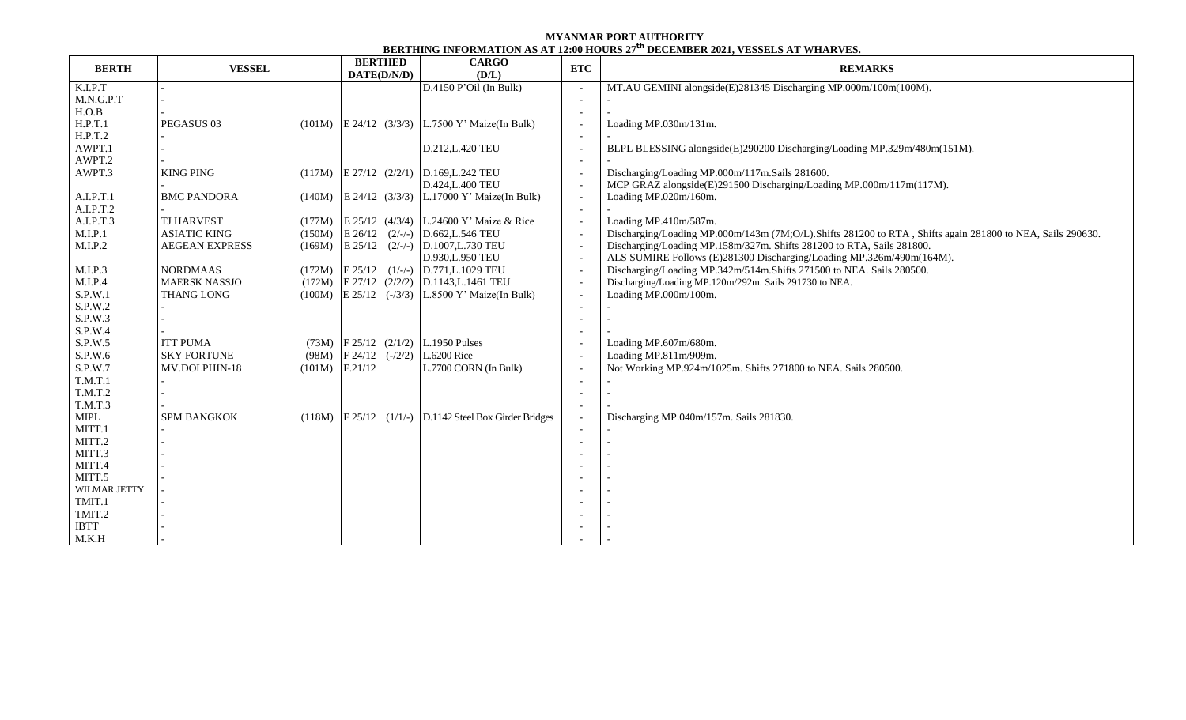## **MYANMAR PORT AUTHORITY BERTHING INFORMATION AS AT 12:00 HOURS 27 th DECEMBER 2021, VESSELS AT WHARVES.**

| D.4150 P' Oil (In Bulk)<br>K.I.P.T<br>MT.AU GEMINI alongside(E)281345 Discharging MP.000m/100m(100M).<br>$\overline{\phantom{a}}$<br>M.N.G.P.T<br>$\overline{\phantom{a}}$<br>H.O.B<br>$\overline{\phantom{a}}$<br>H.P.T.1<br>PEGASUS <sub>03</sub><br>$(101M)$ E 24/12 $(3/3/3)$ L.7500 Y' Maize(In Bulk)<br>Loading MP.030m/131m.<br>$\overline{\phantom{a}}$<br>H.P.T.2<br>$\overline{\phantom{a}}$<br>AWPT.1<br>D.212, L.420 TEU<br>BLPL BLESSING alongside(E)290200 Discharging/Loading MP.329m/480m(151M).<br>$\overline{\phantom{a}}$<br>AWPT.2<br>$\overline{\phantom{a}}$<br>AWPT.3<br><b>KING PING</b><br>$(117M)$ E 27/12 $(2/2/1)$ D.169, L.242 TEU<br>Discharging/Loading MP.000m/117m.Sails 281600.<br>$\overline{\phantom{a}}$<br>D.424, L.400 TEU<br>MCP GRAZ alongside(E)291500 Discharging/Loading MP.000m/117m(117M).<br>$\overline{\phantom{a}}$<br>A.I.P.T.1<br>$(140M)$ E 24/12 $(3/3/3)$<br>L.17000 Y' Maize(In Bulk)<br>Loading MP.020m/160m.<br><b>BMC PANDORA</b><br>$\overline{\phantom{a}}$<br>A.I.P.T.2<br>$\overline{\phantom{a}}$<br>A.I.P.T.3<br>$(177M)$ E 25/12 $(4/3/4)$ L.24600 Y' Maize & Rice<br><b>TJ HARVEST</b><br>Loading MP.410m/587m.<br>$\sim$<br>M.I.P.1<br><b>ASIATIC KING</b><br>$E 26/12 (2/-)$<br>D.662, L.546 TEU<br>Discharging/Loading MP.000m/143m (7M;O/L).Shifts 281200 to RTA, Shifts again 281800 to NEA, Sails 290630.<br>(150M)<br>$\overline{\phantom{a}}$<br>M.I.P.2<br>$(169M)$ E 25/12 $(2/-)$ D.1007, L.730 TEU<br>Discharging/Loading MP.158m/327m. Shifts 281200 to RTA, Sails 281800.<br><b>AEGEAN EXPRESS</b><br>$\overline{\phantom{a}}$<br>D.930, L.950 TEU<br>ALS SUMIRE Follows (E)281300 Discharging/Loading MP.326m/490m(164M).<br>$\overline{\phantom{a}}$<br>Discharging/Loading MP.342m/514m.Shifts 271500 to NEA. Sails 280500.<br>M.I.P.3<br><b>NORDMAAS</b><br>$(172M)$ E 25/12 $(1/-)$ D.771, L.1029 TEU<br>$\overline{\phantom{a}}$<br>M.I.P.4<br><b>MAERSK NASSJO</b><br>$(172M)$ E 27/12 $(2/2/2)$ D.1143, L.1461 TEU<br>Discharging/Loading MP.120m/292m. Sails 291730 to NEA.<br>$\overline{\phantom{a}}$<br>S.P.W.1<br><b>THANG LONG</b><br>Loading MP.000m/100m.<br>$(100M)$ E 25/12 $(-/3/3)$ L.8500 Y' Maize(In Bulk)<br>$\overline{\phantom{a}}$<br>S.P.W.2<br>$\overline{\phantom{a}}$<br>S.P.W.3<br>$\overline{\phantom{0}}$<br>S.P.W.4<br><b>ITT PUMA</b><br>S.P.W.5<br>$(73M)$ F 25/12 $(2/1/2)$ L.1950 Pulses<br>Loading MP.607m/680m.<br>$\overline{\phantom{a}}$<br>$(98M)$ F 24/12 $(-/2/2)$<br>S.P.W.6<br><b>SKY FORTUNE</b><br>L.6200 Rice<br>Loading MP.811m/909m.<br>$\overline{\phantom{a}}$<br>S.P.W.7<br>F.21/12<br>(101M)<br>L.7700 CORN (In Bulk)<br>Not Working MP.924m/1025m. Shifts 271800 to NEA. Sails 280500.<br>MV.DOLPHIN-18<br>$\overline{\phantom{a}}$<br>T.M.T.1<br>$\overline{\phantom{a}}$<br>T.M.T.2<br>$\overline{\phantom{a}}$<br><b>T.M.T.3</b><br>$\overline{\phantom{a}}$<br><b>MIPL</b><br>SPM BANGKOK<br>$(118M)$ F 25/12 $(1/1/-)$ D.1142 Steel Box Girder Bridges<br>Discharging MP.040m/157m. Sails 281830.<br>$\overline{\phantom{a}}$<br>MITT.1<br>MITT.2<br>MITT.3<br>MITT.4<br>MITT.5<br>WILMAR JETTY<br>TMIT.1<br>TMIT.2<br><b>IBTT</b> | <b>BERTH</b> | <b>VESSEL</b> | <b>BERTHED</b><br><b>CARGO</b><br>DATE(D/N/D)<br>(D/L) |  | <b>ETC</b> | <b>REMARKS</b> |  |  |  |
|-----------------------------------------------------------------------------------------------------------------------------------------------------------------------------------------------------------------------------------------------------------------------------------------------------------------------------------------------------------------------------------------------------------------------------------------------------------------------------------------------------------------------------------------------------------------------------------------------------------------------------------------------------------------------------------------------------------------------------------------------------------------------------------------------------------------------------------------------------------------------------------------------------------------------------------------------------------------------------------------------------------------------------------------------------------------------------------------------------------------------------------------------------------------------------------------------------------------------------------------------------------------------------------------------------------------------------------------------------------------------------------------------------------------------------------------------------------------------------------------------------------------------------------------------------------------------------------------------------------------------------------------------------------------------------------------------------------------------------------------------------------------------------------------------------------------------------------------------------------------------------------------------------------------------------------------------------------------------------------------------------------------------------------------------------------------------------------------------------------------------------------------------------------------------------------------------------------------------------------------------------------------------------------------------------------------------------------------------------------------------------------------------------------------------------------------------------------------------------------------------------------------------------------------------------------------------------------------------------------------------------------------------------------------------------------------------------------------------------------------------------------------------------------------------------------------------------------------------------------------------------------------------------------------------------------------------------------------------------------------------------------------------------------------------------------------------------------------------------------------------------------------------------------------------------------|--------------|---------------|--------------------------------------------------------|--|------------|----------------|--|--|--|
|                                                                                                                                                                                                                                                                                                                                                                                                                                                                                                                                                                                                                                                                                                                                                                                                                                                                                                                                                                                                                                                                                                                                                                                                                                                                                                                                                                                                                                                                                                                                                                                                                                                                                                                                                                                                                                                                                                                                                                                                                                                                                                                                                                                                                                                                                                                                                                                                                                                                                                                                                                                                                                                                                                                                                                                                                                                                                                                                                                                                                                                                                                                                                                                   |              |               |                                                        |  |            |                |  |  |  |
|                                                                                                                                                                                                                                                                                                                                                                                                                                                                                                                                                                                                                                                                                                                                                                                                                                                                                                                                                                                                                                                                                                                                                                                                                                                                                                                                                                                                                                                                                                                                                                                                                                                                                                                                                                                                                                                                                                                                                                                                                                                                                                                                                                                                                                                                                                                                                                                                                                                                                                                                                                                                                                                                                                                                                                                                                                                                                                                                                                                                                                                                                                                                                                                   |              |               |                                                        |  |            |                |  |  |  |
|                                                                                                                                                                                                                                                                                                                                                                                                                                                                                                                                                                                                                                                                                                                                                                                                                                                                                                                                                                                                                                                                                                                                                                                                                                                                                                                                                                                                                                                                                                                                                                                                                                                                                                                                                                                                                                                                                                                                                                                                                                                                                                                                                                                                                                                                                                                                                                                                                                                                                                                                                                                                                                                                                                                                                                                                                                                                                                                                                                                                                                                                                                                                                                                   |              |               |                                                        |  |            |                |  |  |  |
|                                                                                                                                                                                                                                                                                                                                                                                                                                                                                                                                                                                                                                                                                                                                                                                                                                                                                                                                                                                                                                                                                                                                                                                                                                                                                                                                                                                                                                                                                                                                                                                                                                                                                                                                                                                                                                                                                                                                                                                                                                                                                                                                                                                                                                                                                                                                                                                                                                                                                                                                                                                                                                                                                                                                                                                                                                                                                                                                                                                                                                                                                                                                                                                   |              |               |                                                        |  |            |                |  |  |  |
|                                                                                                                                                                                                                                                                                                                                                                                                                                                                                                                                                                                                                                                                                                                                                                                                                                                                                                                                                                                                                                                                                                                                                                                                                                                                                                                                                                                                                                                                                                                                                                                                                                                                                                                                                                                                                                                                                                                                                                                                                                                                                                                                                                                                                                                                                                                                                                                                                                                                                                                                                                                                                                                                                                                                                                                                                                                                                                                                                                                                                                                                                                                                                                                   |              |               |                                                        |  |            |                |  |  |  |
|                                                                                                                                                                                                                                                                                                                                                                                                                                                                                                                                                                                                                                                                                                                                                                                                                                                                                                                                                                                                                                                                                                                                                                                                                                                                                                                                                                                                                                                                                                                                                                                                                                                                                                                                                                                                                                                                                                                                                                                                                                                                                                                                                                                                                                                                                                                                                                                                                                                                                                                                                                                                                                                                                                                                                                                                                                                                                                                                                                                                                                                                                                                                                                                   |              |               |                                                        |  |            |                |  |  |  |
|                                                                                                                                                                                                                                                                                                                                                                                                                                                                                                                                                                                                                                                                                                                                                                                                                                                                                                                                                                                                                                                                                                                                                                                                                                                                                                                                                                                                                                                                                                                                                                                                                                                                                                                                                                                                                                                                                                                                                                                                                                                                                                                                                                                                                                                                                                                                                                                                                                                                                                                                                                                                                                                                                                                                                                                                                                                                                                                                                                                                                                                                                                                                                                                   |              |               |                                                        |  |            |                |  |  |  |
|                                                                                                                                                                                                                                                                                                                                                                                                                                                                                                                                                                                                                                                                                                                                                                                                                                                                                                                                                                                                                                                                                                                                                                                                                                                                                                                                                                                                                                                                                                                                                                                                                                                                                                                                                                                                                                                                                                                                                                                                                                                                                                                                                                                                                                                                                                                                                                                                                                                                                                                                                                                                                                                                                                                                                                                                                                                                                                                                                                                                                                                                                                                                                                                   |              |               |                                                        |  |            |                |  |  |  |
|                                                                                                                                                                                                                                                                                                                                                                                                                                                                                                                                                                                                                                                                                                                                                                                                                                                                                                                                                                                                                                                                                                                                                                                                                                                                                                                                                                                                                                                                                                                                                                                                                                                                                                                                                                                                                                                                                                                                                                                                                                                                                                                                                                                                                                                                                                                                                                                                                                                                                                                                                                                                                                                                                                                                                                                                                                                                                                                                                                                                                                                                                                                                                                                   |              |               |                                                        |  |            |                |  |  |  |
|                                                                                                                                                                                                                                                                                                                                                                                                                                                                                                                                                                                                                                                                                                                                                                                                                                                                                                                                                                                                                                                                                                                                                                                                                                                                                                                                                                                                                                                                                                                                                                                                                                                                                                                                                                                                                                                                                                                                                                                                                                                                                                                                                                                                                                                                                                                                                                                                                                                                                                                                                                                                                                                                                                                                                                                                                                                                                                                                                                                                                                                                                                                                                                                   |              |               |                                                        |  |            |                |  |  |  |
|                                                                                                                                                                                                                                                                                                                                                                                                                                                                                                                                                                                                                                                                                                                                                                                                                                                                                                                                                                                                                                                                                                                                                                                                                                                                                                                                                                                                                                                                                                                                                                                                                                                                                                                                                                                                                                                                                                                                                                                                                                                                                                                                                                                                                                                                                                                                                                                                                                                                                                                                                                                                                                                                                                                                                                                                                                                                                                                                                                                                                                                                                                                                                                                   |              |               |                                                        |  |            |                |  |  |  |
|                                                                                                                                                                                                                                                                                                                                                                                                                                                                                                                                                                                                                                                                                                                                                                                                                                                                                                                                                                                                                                                                                                                                                                                                                                                                                                                                                                                                                                                                                                                                                                                                                                                                                                                                                                                                                                                                                                                                                                                                                                                                                                                                                                                                                                                                                                                                                                                                                                                                                                                                                                                                                                                                                                                                                                                                                                                                                                                                                                                                                                                                                                                                                                                   |              |               |                                                        |  |            |                |  |  |  |
|                                                                                                                                                                                                                                                                                                                                                                                                                                                                                                                                                                                                                                                                                                                                                                                                                                                                                                                                                                                                                                                                                                                                                                                                                                                                                                                                                                                                                                                                                                                                                                                                                                                                                                                                                                                                                                                                                                                                                                                                                                                                                                                                                                                                                                                                                                                                                                                                                                                                                                                                                                                                                                                                                                                                                                                                                                                                                                                                                                                                                                                                                                                                                                                   |              |               |                                                        |  |            |                |  |  |  |
|                                                                                                                                                                                                                                                                                                                                                                                                                                                                                                                                                                                                                                                                                                                                                                                                                                                                                                                                                                                                                                                                                                                                                                                                                                                                                                                                                                                                                                                                                                                                                                                                                                                                                                                                                                                                                                                                                                                                                                                                                                                                                                                                                                                                                                                                                                                                                                                                                                                                                                                                                                                                                                                                                                                                                                                                                                                                                                                                                                                                                                                                                                                                                                                   |              |               |                                                        |  |            |                |  |  |  |
|                                                                                                                                                                                                                                                                                                                                                                                                                                                                                                                                                                                                                                                                                                                                                                                                                                                                                                                                                                                                                                                                                                                                                                                                                                                                                                                                                                                                                                                                                                                                                                                                                                                                                                                                                                                                                                                                                                                                                                                                                                                                                                                                                                                                                                                                                                                                                                                                                                                                                                                                                                                                                                                                                                                                                                                                                                                                                                                                                                                                                                                                                                                                                                                   |              |               |                                                        |  |            |                |  |  |  |
|                                                                                                                                                                                                                                                                                                                                                                                                                                                                                                                                                                                                                                                                                                                                                                                                                                                                                                                                                                                                                                                                                                                                                                                                                                                                                                                                                                                                                                                                                                                                                                                                                                                                                                                                                                                                                                                                                                                                                                                                                                                                                                                                                                                                                                                                                                                                                                                                                                                                                                                                                                                                                                                                                                                                                                                                                                                                                                                                                                                                                                                                                                                                                                                   |              |               |                                                        |  |            |                |  |  |  |
|                                                                                                                                                                                                                                                                                                                                                                                                                                                                                                                                                                                                                                                                                                                                                                                                                                                                                                                                                                                                                                                                                                                                                                                                                                                                                                                                                                                                                                                                                                                                                                                                                                                                                                                                                                                                                                                                                                                                                                                                                                                                                                                                                                                                                                                                                                                                                                                                                                                                                                                                                                                                                                                                                                                                                                                                                                                                                                                                                                                                                                                                                                                                                                                   |              |               |                                                        |  |            |                |  |  |  |
|                                                                                                                                                                                                                                                                                                                                                                                                                                                                                                                                                                                                                                                                                                                                                                                                                                                                                                                                                                                                                                                                                                                                                                                                                                                                                                                                                                                                                                                                                                                                                                                                                                                                                                                                                                                                                                                                                                                                                                                                                                                                                                                                                                                                                                                                                                                                                                                                                                                                                                                                                                                                                                                                                                                                                                                                                                                                                                                                                                                                                                                                                                                                                                                   |              |               |                                                        |  |            |                |  |  |  |
|                                                                                                                                                                                                                                                                                                                                                                                                                                                                                                                                                                                                                                                                                                                                                                                                                                                                                                                                                                                                                                                                                                                                                                                                                                                                                                                                                                                                                                                                                                                                                                                                                                                                                                                                                                                                                                                                                                                                                                                                                                                                                                                                                                                                                                                                                                                                                                                                                                                                                                                                                                                                                                                                                                                                                                                                                                                                                                                                                                                                                                                                                                                                                                                   |              |               |                                                        |  |            |                |  |  |  |
|                                                                                                                                                                                                                                                                                                                                                                                                                                                                                                                                                                                                                                                                                                                                                                                                                                                                                                                                                                                                                                                                                                                                                                                                                                                                                                                                                                                                                                                                                                                                                                                                                                                                                                                                                                                                                                                                                                                                                                                                                                                                                                                                                                                                                                                                                                                                                                                                                                                                                                                                                                                                                                                                                                                                                                                                                                                                                                                                                                                                                                                                                                                                                                                   |              |               |                                                        |  |            |                |  |  |  |
|                                                                                                                                                                                                                                                                                                                                                                                                                                                                                                                                                                                                                                                                                                                                                                                                                                                                                                                                                                                                                                                                                                                                                                                                                                                                                                                                                                                                                                                                                                                                                                                                                                                                                                                                                                                                                                                                                                                                                                                                                                                                                                                                                                                                                                                                                                                                                                                                                                                                                                                                                                                                                                                                                                                                                                                                                                                                                                                                                                                                                                                                                                                                                                                   |              |               |                                                        |  |            |                |  |  |  |
|                                                                                                                                                                                                                                                                                                                                                                                                                                                                                                                                                                                                                                                                                                                                                                                                                                                                                                                                                                                                                                                                                                                                                                                                                                                                                                                                                                                                                                                                                                                                                                                                                                                                                                                                                                                                                                                                                                                                                                                                                                                                                                                                                                                                                                                                                                                                                                                                                                                                                                                                                                                                                                                                                                                                                                                                                                                                                                                                                                                                                                                                                                                                                                                   |              |               |                                                        |  |            |                |  |  |  |
|                                                                                                                                                                                                                                                                                                                                                                                                                                                                                                                                                                                                                                                                                                                                                                                                                                                                                                                                                                                                                                                                                                                                                                                                                                                                                                                                                                                                                                                                                                                                                                                                                                                                                                                                                                                                                                                                                                                                                                                                                                                                                                                                                                                                                                                                                                                                                                                                                                                                                                                                                                                                                                                                                                                                                                                                                                                                                                                                                                                                                                                                                                                                                                                   |              |               |                                                        |  |            |                |  |  |  |
|                                                                                                                                                                                                                                                                                                                                                                                                                                                                                                                                                                                                                                                                                                                                                                                                                                                                                                                                                                                                                                                                                                                                                                                                                                                                                                                                                                                                                                                                                                                                                                                                                                                                                                                                                                                                                                                                                                                                                                                                                                                                                                                                                                                                                                                                                                                                                                                                                                                                                                                                                                                                                                                                                                                                                                                                                                                                                                                                                                                                                                                                                                                                                                                   |              |               |                                                        |  |            |                |  |  |  |
|                                                                                                                                                                                                                                                                                                                                                                                                                                                                                                                                                                                                                                                                                                                                                                                                                                                                                                                                                                                                                                                                                                                                                                                                                                                                                                                                                                                                                                                                                                                                                                                                                                                                                                                                                                                                                                                                                                                                                                                                                                                                                                                                                                                                                                                                                                                                                                                                                                                                                                                                                                                                                                                                                                                                                                                                                                                                                                                                                                                                                                                                                                                                                                                   |              |               |                                                        |  |            |                |  |  |  |
|                                                                                                                                                                                                                                                                                                                                                                                                                                                                                                                                                                                                                                                                                                                                                                                                                                                                                                                                                                                                                                                                                                                                                                                                                                                                                                                                                                                                                                                                                                                                                                                                                                                                                                                                                                                                                                                                                                                                                                                                                                                                                                                                                                                                                                                                                                                                                                                                                                                                                                                                                                                                                                                                                                                                                                                                                                                                                                                                                                                                                                                                                                                                                                                   |              |               |                                                        |  |            |                |  |  |  |
|                                                                                                                                                                                                                                                                                                                                                                                                                                                                                                                                                                                                                                                                                                                                                                                                                                                                                                                                                                                                                                                                                                                                                                                                                                                                                                                                                                                                                                                                                                                                                                                                                                                                                                                                                                                                                                                                                                                                                                                                                                                                                                                                                                                                                                                                                                                                                                                                                                                                                                                                                                                                                                                                                                                                                                                                                                                                                                                                                                                                                                                                                                                                                                                   |              |               |                                                        |  |            |                |  |  |  |
|                                                                                                                                                                                                                                                                                                                                                                                                                                                                                                                                                                                                                                                                                                                                                                                                                                                                                                                                                                                                                                                                                                                                                                                                                                                                                                                                                                                                                                                                                                                                                                                                                                                                                                                                                                                                                                                                                                                                                                                                                                                                                                                                                                                                                                                                                                                                                                                                                                                                                                                                                                                                                                                                                                                                                                                                                                                                                                                                                                                                                                                                                                                                                                                   |              |               |                                                        |  |            |                |  |  |  |
|                                                                                                                                                                                                                                                                                                                                                                                                                                                                                                                                                                                                                                                                                                                                                                                                                                                                                                                                                                                                                                                                                                                                                                                                                                                                                                                                                                                                                                                                                                                                                                                                                                                                                                                                                                                                                                                                                                                                                                                                                                                                                                                                                                                                                                                                                                                                                                                                                                                                                                                                                                                                                                                                                                                                                                                                                                                                                                                                                                                                                                                                                                                                                                                   |              |               |                                                        |  |            |                |  |  |  |
|                                                                                                                                                                                                                                                                                                                                                                                                                                                                                                                                                                                                                                                                                                                                                                                                                                                                                                                                                                                                                                                                                                                                                                                                                                                                                                                                                                                                                                                                                                                                                                                                                                                                                                                                                                                                                                                                                                                                                                                                                                                                                                                                                                                                                                                                                                                                                                                                                                                                                                                                                                                                                                                                                                                                                                                                                                                                                                                                                                                                                                                                                                                                                                                   |              |               |                                                        |  |            |                |  |  |  |
|                                                                                                                                                                                                                                                                                                                                                                                                                                                                                                                                                                                                                                                                                                                                                                                                                                                                                                                                                                                                                                                                                                                                                                                                                                                                                                                                                                                                                                                                                                                                                                                                                                                                                                                                                                                                                                                                                                                                                                                                                                                                                                                                                                                                                                                                                                                                                                                                                                                                                                                                                                                                                                                                                                                                                                                                                                                                                                                                                                                                                                                                                                                                                                                   |              |               |                                                        |  |            |                |  |  |  |
|                                                                                                                                                                                                                                                                                                                                                                                                                                                                                                                                                                                                                                                                                                                                                                                                                                                                                                                                                                                                                                                                                                                                                                                                                                                                                                                                                                                                                                                                                                                                                                                                                                                                                                                                                                                                                                                                                                                                                                                                                                                                                                                                                                                                                                                                                                                                                                                                                                                                                                                                                                                                                                                                                                                                                                                                                                                                                                                                                                                                                                                                                                                                                                                   |              |               |                                                        |  |            |                |  |  |  |
|                                                                                                                                                                                                                                                                                                                                                                                                                                                                                                                                                                                                                                                                                                                                                                                                                                                                                                                                                                                                                                                                                                                                                                                                                                                                                                                                                                                                                                                                                                                                                                                                                                                                                                                                                                                                                                                                                                                                                                                                                                                                                                                                                                                                                                                                                                                                                                                                                                                                                                                                                                                                                                                                                                                                                                                                                                                                                                                                                                                                                                                                                                                                                                                   |              |               |                                                        |  |            |                |  |  |  |
|                                                                                                                                                                                                                                                                                                                                                                                                                                                                                                                                                                                                                                                                                                                                                                                                                                                                                                                                                                                                                                                                                                                                                                                                                                                                                                                                                                                                                                                                                                                                                                                                                                                                                                                                                                                                                                                                                                                                                                                                                                                                                                                                                                                                                                                                                                                                                                                                                                                                                                                                                                                                                                                                                                                                                                                                                                                                                                                                                                                                                                                                                                                                                                                   |              |               |                                                        |  |            |                |  |  |  |
|                                                                                                                                                                                                                                                                                                                                                                                                                                                                                                                                                                                                                                                                                                                                                                                                                                                                                                                                                                                                                                                                                                                                                                                                                                                                                                                                                                                                                                                                                                                                                                                                                                                                                                                                                                                                                                                                                                                                                                                                                                                                                                                                                                                                                                                                                                                                                                                                                                                                                                                                                                                                                                                                                                                                                                                                                                                                                                                                                                                                                                                                                                                                                                                   |              |               |                                                        |  |            |                |  |  |  |
|                                                                                                                                                                                                                                                                                                                                                                                                                                                                                                                                                                                                                                                                                                                                                                                                                                                                                                                                                                                                                                                                                                                                                                                                                                                                                                                                                                                                                                                                                                                                                                                                                                                                                                                                                                                                                                                                                                                                                                                                                                                                                                                                                                                                                                                                                                                                                                                                                                                                                                                                                                                                                                                                                                                                                                                                                                                                                                                                                                                                                                                                                                                                                                                   |              |               |                                                        |  |            |                |  |  |  |
|                                                                                                                                                                                                                                                                                                                                                                                                                                                                                                                                                                                                                                                                                                                                                                                                                                                                                                                                                                                                                                                                                                                                                                                                                                                                                                                                                                                                                                                                                                                                                                                                                                                                                                                                                                                                                                                                                                                                                                                                                                                                                                                                                                                                                                                                                                                                                                                                                                                                                                                                                                                                                                                                                                                                                                                                                                                                                                                                                                                                                                                                                                                                                                                   |              |               |                                                        |  |            |                |  |  |  |
|                                                                                                                                                                                                                                                                                                                                                                                                                                                                                                                                                                                                                                                                                                                                                                                                                                                                                                                                                                                                                                                                                                                                                                                                                                                                                                                                                                                                                                                                                                                                                                                                                                                                                                                                                                                                                                                                                                                                                                                                                                                                                                                                                                                                                                                                                                                                                                                                                                                                                                                                                                                                                                                                                                                                                                                                                                                                                                                                                                                                                                                                                                                                                                                   | M.K.H        |               |                                                        |  |            |                |  |  |  |